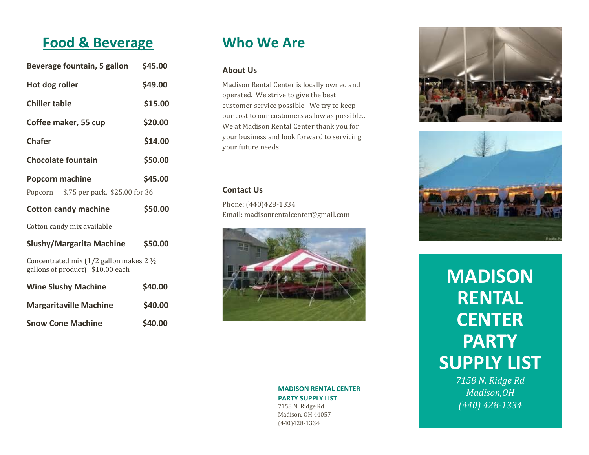## **Food & Beverage**

| Beverage fountain, 5 gallon            | \$45.00       |
|----------------------------------------|---------------|
| Hot dog roller                         | \$49.00       |
| <b>Chiller table</b>                   | \$15.00       |
| Coffee maker, 55 cup                   | \$20.00       |
| <b>Chafer</b>                          | \$14.00       |
| <b>Chocolate fountain</b>              | \$50.00       |
| <b>Popcorn machine</b>                 | \$45.00       |
| Popcorn \$.75 per pack, \$25.00 for 36 |               |
| <b>Cotton candy machine</b>            | <b>S50.00</b> |

Cotton candy mix available

| <b>Slushy/Margarita Machine</b>                                                           | \$50.00 |  |
|-------------------------------------------------------------------------------------------|---------|--|
| Concentrated mix $(1/2)$ gallon makes 2 $\frac{1}{2}$<br>gallons of product) \$10.00 each |         |  |
| <b>Wine Slushy Machine</b>                                                                | \$40.00 |  |
| <b>Margaritaville Machine</b>                                                             | \$40.00 |  |
|                                                                                           |         |  |

**Snow Cone Machine \$40.00** 

**Who We Are**

#### **About Us**

Madison Rental Center is locally owned and operated. We strive to give the best customer service possible. We try to keep our cost to our customers as low as possible.. We at Madison Rental Center thank you for your business and look forward to servicing your future needs

#### **Contact Us**

Phone: (440)428-1334 Email[: madisonrentalcenter@gmail.com](mailto:madisonrentalcenter@gmail.com)



#### **MADISON RENTAL CENTER PARTY SUPPLY LIST** 7158 N. Ridge Rd Madison, OH 44057 (440)428-1334





# **MADISON RENTAL CENTER PARTY SUPPLY LIST**

*7158 N. Ridge Rd Madison,OH (440) 428-1334*